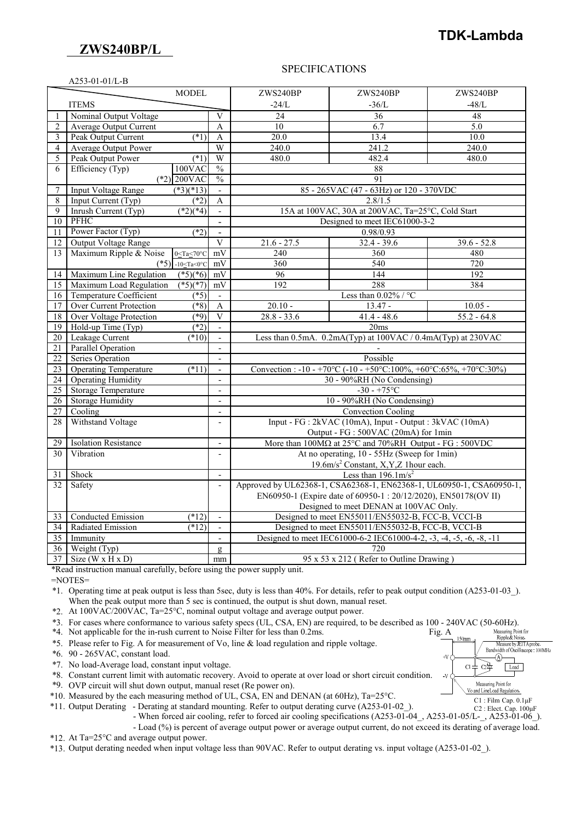## **ZWS240BP/L**

# **TDK-Lambda**

#### A253-01-01/L-B

#### SPECIFICATIONS

|                 |                                                                                                  | <b>MODEL</b>                                                  |                          | ZWS240BP                                                                    | ZWS240BP                | ZWS240BP      |  |
|-----------------|--------------------------------------------------------------------------------------------------|---------------------------------------------------------------|--------------------------|-----------------------------------------------------------------------------|-------------------------|---------------|--|
|                 | <b>ITEMS</b>                                                                                     |                                                               |                          | $-24/L$                                                                     | $-36/L$                 | $-48/L$       |  |
| $\mathbf{1}$    | Nominal Output Voltage                                                                           |                                                               | $\overline{V}$           | 24                                                                          | 36                      | 48            |  |
| $\overline{2}$  | Average Output Current                                                                           |                                                               | A                        | 10                                                                          | 6.7                     | 5.0           |  |
| 3               | Peak Output Current                                                                              | $(*1)$                                                        | A                        | 20.0                                                                        | 13.4                    | 10.0          |  |
| 4               | Average Output Power                                                                             |                                                               | W                        | 240.0                                                                       | 241.2                   | 240.0         |  |
| 5               | Peak Output Power                                                                                | $(*1)$                                                        | W                        | 480.0                                                                       | 482.4                   | 480.0         |  |
| 6               | Efficiency (Typ)                                                                                 | $100$ VAC                                                     | $\frac{0}{0}$            | 88                                                                          |                         |               |  |
|                 |                                                                                                  | $(*2)$ 200VAC                                                 | $\frac{0}{0}$            | 91                                                                          |                         |               |  |
| $\tau$          | <b>Input Voltage Range</b>                                                                       | $(*3)(*13)$                                                   | $\blacksquare$           | 85 - 265VAC (47 - 63Hz) or 120 - 370VDC                                     |                         |               |  |
| 8               | Input Current (Typ)                                                                              | $(*2)$                                                        | A                        | 2.8/1.5                                                                     |                         |               |  |
| 9               | Inrush Current (Typ)                                                                             | $\sqrt{(2)(4)}$                                               |                          | 15A at 100VAC, 30A at 200VAC, Ta=25°C, Cold Start                           |                         |               |  |
| 10              | <b>PFHC</b>                                                                                      |                                                               | $\blacksquare$           | Designed to meet IEC61000-3-2                                               |                         |               |  |
| 11              | Power Factor (Typ)                                                                               | $(*2)$                                                        | $\blacksquare$           | 0.98/0.93                                                                   |                         |               |  |
| 12              | Output Voltage Range                                                                             |                                                               | $\overline{V}$           | $21.6 - 27.5$                                                               | $32.4 - 39.6$           | $39.6 - 52.8$ |  |
| 13              | Maximum Ripple & Noise                                                                           | $0 \leq Ta \leq 70^{\circ}C$                                  | mV                       | 240                                                                         | 360                     | 480           |  |
|                 |                                                                                                  | $(*5)$ -10 $\leq$ Ta<0°C                                      | mV                       | 360                                                                         | 540                     | 720           |  |
| 14              | Maximum Line Regulation                                                                          | $(*5)(*6)$                                                    | mV                       | 96                                                                          | 144                     | 192           |  |
| 15              | Maximum Load Regulation                                                                          | $(*5)(*7)$                                                    | mV                       | 192                                                                         | 288                     | 384           |  |
| 16              | Temperature Coefficient                                                                          | $( *5)$                                                       |                          |                                                                             | Less than $0.02\%$ / °C |               |  |
| 17              | <b>Over Current Protection</b>                                                                   | $(*8)$                                                        | $\overline{A}$           | $20.10 -$                                                                   | $13.47 -$               | $10.05 -$     |  |
| 18              | <b>Over Voltage Protection</b>                                                                   | $(\overline{8})$                                              | V                        | $28.8 - 33.6$                                                               | $41.4 - 48.6$           | $55.2 - 64.8$ |  |
| $\overline{19}$ | Hold-up Time (Typ)                                                                               | $(*2)$                                                        | $\blacksquare$           |                                                                             | 20ms                    |               |  |
| 20              | Leakage Current                                                                                  | $(*10)$                                                       | $\mathbf{r}$             | Less than 0.5mA. 0.2mA(Typ) at 100VAC / 0.4mA(Typ) at 230VAC                |                         |               |  |
| 21              | <b>Parallel Operation</b>                                                                        |                                                               | $\overline{a}$           |                                                                             |                         |               |  |
| 22              | Series Operation                                                                                 |                                                               |                          | Possible                                                                    |                         |               |  |
| $\overline{23}$ | <b>Operating Temperature</b>                                                                     | $(*11)$                                                       | $\overline{\phantom{a}}$ | Convection : -10 - +70°C (-10 - +50°C:100%, +60°C:65%, +70°C:30%)           |                         |               |  |
| 24              | <b>Operating Humidity</b>                                                                        |                                                               | $\overline{a}$           | 30 - 90%RH (No Condensing)                                                  |                         |               |  |
| 25              | <b>Storage Temperature</b>                                                                       |                                                               | $\overline{a}$           | $-30 - +75$ °C                                                              |                         |               |  |
| 26              | <b>Storage Humidity</b>                                                                          |                                                               | $\blacksquare$           | 10 - 90%RH (No Condensing)                                                  |                         |               |  |
| $\overline{27}$ | Cooling                                                                                          |                                                               | $\overline{a}$           | <b>Convection Cooling</b>                                                   |                         |               |  |
| 28              | Withstand Voltage                                                                                |                                                               | $\overline{a}$           | Input - FG : 2kVAC (10mA), Input - Output : 3kVAC (10mA)                    |                         |               |  |
|                 |                                                                                                  |                                                               |                          | Output - FG : 500VAC (20mA) for 1min                                        |                         |               |  |
| 29              | <b>Isolation Resistance</b>                                                                      |                                                               | $\overline{\phantom{a}}$ | More than $100M\Omega$ at $25^{\circ}$ C and $70\%$ RH Output - FG : 500VDC |                         |               |  |
| 30              | Vibration                                                                                        |                                                               | $\overline{a}$           | At no operating, 10 - 55Hz (Sweep for 1min)                                 |                         |               |  |
|                 |                                                                                                  |                                                               |                          | 19.6m/s <sup>2</sup> Constant, X, Y, Z 1 hour each.                         |                         |               |  |
| 31              | Shock                                                                                            |                                                               | $\overline{a}$           | Less than $196.1 \text{m/s}^2$                                              |                         |               |  |
| 32              | Approved by UL62368-1, CSA62368-1, EN62368-1, UL60950-1, CSA60950-1,<br>Safety<br>$\blacksquare$ |                                                               |                          |                                                                             |                         |               |  |
|                 |                                                                                                  | EN60950-1 (Expire date of 60950-1:20/12/2020), EN50178(OV II) |                          |                                                                             |                         |               |  |
|                 |                                                                                                  |                                                               |                          | Designed to meet DENAN at 100VAC Only.                                      |                         |               |  |
| 33              | Conducted Emission                                                                               | $(*12)$                                                       | $\blacksquare$           | Designed to meet EN55011/EN55032-B, FCC-B, VCCI-B                           |                         |               |  |
| 34              | Radiated Emission                                                                                | (12)                                                          | $\overline{\phantom{a}}$ | Designed to meet EN55011/EN55032-B, FCC-B, VCCI-B                           |                         |               |  |
| 35              | Immunity                                                                                         |                                                               |                          | Designed to meet IEC61000-6-2 IEC61000-4-2, -3, -4, -5, -6, -8, -11         |                         |               |  |
| $\overline{36}$ | Weight (Typ)                                                                                     |                                                               | $\mathbf{Q}$             | 720                                                                         |                         |               |  |
| 37              | Size ( $W \times H \times D$ )                                                                   |                                                               | mm                       | 95 x 53 x 212 (Refer to Outline Drawing)                                    |                         |               |  |

\*Read instruction manual carefully, before using the power supply unit.

=NOTES=

\*1. Operating time at peak output is less than 5sec, duty is less than 40%. For details, refer to peak output condition (A253-01-03\_). When the peak output more than 5 sec is continued, the output is shut down, manual reset.

\*2. At 100VAC/200VAC, Ta=25°C, nominal output voltage and average output power.

\*3. For cases where conformance to various safety specs (UL, CSA, EN) are required, to be described as 100 - 240VAC (50-60Hz).

\*4. Not applicable for the in-rush current to Noise Filter for less than 0.2ms. Fig. A

\*5. Please refer to Fig. A for measurement of Vo, line & load regulation and ripple voltage.

\*6. 90 - 265VAC, constant load.

\*7. No load-Average load, constant input voltage.

\*8. Constant current limit with automatic recovery. Avoid to operate at over load or short circuit condition.

\*9. OVP circuit will shut down output, manual reset (Re power on).

\*10. Measured by the each measuring method of UL, CSA, EN and DENAN (at 60Hz), Ta=25°C.

\*11. Output Derating - Derating at standard mounting. Refer to output derating curve (A253-01-02\_).

- When forced air cooling, refer to forced air cooling specifications (A253-01-04\_, A253-01-05/L-\_, A253-01-06\_).

- Load (%) is percent of average output power or average output current, do not exceed its derating of average load.

\*12. At Ta=25°C and average output power.

\*13. Output derating needed when input voltage less than 90VAC. Refer to output derating vs. input voltage (A253-01-02\_).



C2 : Elect. Cap. 100μF